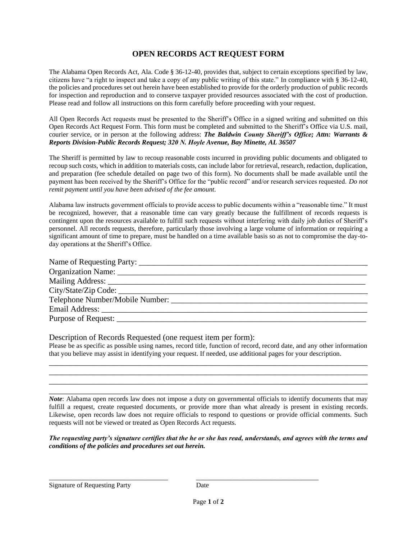# **OPEN RECORDS ACT REQUEST FORM**

The Alabama Open Records Act, Ala. Code § 36-12-40, provides that, subject to certain exceptions specified by law, citizens have "a right to inspect and take a copy of any public writing of this state." In compliance with § 36-12-40, the policies and procedures set out herein have been established to provide for the orderly production of public records for inspection and reproduction and to conserve taxpayer provided resources associated with the cost of production. Please read and follow all instructions on this form carefully before proceeding with your request.

All Open Records Act requests must be presented to the Sheriff's Office in a signed writing and submitted on this Open Records Act Request Form. This form must be completed and submitted to the Sheriff's Office via U.S. mail, courier service, or in person at the following address: *The Baldwin County Sheriff's Office; Attn: Warrants & Reports Division-Public Records Request; 320 N. Hoyle Avenue, Bay Minette, AL 36507*

The Sheriff is permitted by law to recoup reasonable costs incurred in providing public documents and obligated to recoup such costs, which in addition to materials costs, can include labor for retrieval, research, redaction, duplication, and preparation (fee schedule detailed on page two of this form). No documents shall be made available until the payment has been received by the Sheriff's Office for the "public record" and/or research services requested. *Do not remit payment until you have been advised of the fee amount*.

Alabama law instructs government officials to provide access to public documents within a "reasonable time." It must be recognized, however, that a reasonable time can vary greatly because the fulfillment of records requests is contingent upon the resources available to fulfill such requests without interfering with daily job duties of Sheriff's personnel. All records requests, therefore, particularly those involving a large volume of information or requiring a significant amount of time to prepare, must be handled on a time available basis so as not to compromise the day-today operations at the Sheriff's Office.

Description of Records Requested (one request item per form):

Please be as specific as possible using names, record title, function of record, record date, and any other information that you believe may assist in identifying your request. If needed, use additional pages for your description. \_\_\_\_\_\_\_\_\_\_\_\_\_\_\_\_\_\_\_\_\_\_\_\_\_\_\_\_\_\_\_\_\_\_\_\_\_\_\_\_\_\_\_\_\_\_\_\_\_\_\_\_\_\_\_\_\_\_\_\_\_\_\_\_\_\_\_\_\_\_\_\_\_\_\_\_\_\_

\_\_\_\_\_\_\_\_\_\_\_\_\_\_\_\_\_\_\_\_\_\_\_\_\_\_\_\_\_\_\_\_\_\_\_\_\_\_\_\_\_\_\_\_\_\_\_\_\_\_\_\_\_\_\_\_\_\_\_\_\_\_\_\_\_\_\_\_\_\_\_\_\_\_\_\_\_\_ \_\_\_\_\_\_\_\_\_\_\_\_\_\_\_\_\_\_\_\_\_\_\_\_\_\_\_\_\_\_\_\_\_\_\_\_\_\_\_\_\_\_\_\_\_\_\_\_\_\_\_\_\_\_\_\_\_\_\_\_\_\_\_\_\_\_\_\_\_\_\_\_\_\_\_\_\_\_ \_\_\_\_\_\_\_\_\_\_\_\_\_\_\_\_\_\_\_\_\_\_\_\_\_\_\_\_\_\_\_\_\_\_\_\_\_\_\_\_\_\_\_\_\_\_\_\_\_\_\_\_\_\_\_\_\_\_\_\_\_\_\_\_\_\_\_\_\_\_\_\_\_\_\_\_\_\_

*Note*: Alabama open records law does not impose a duty on governmental officials to identify documents that may fulfill a request, create requested documents, or provide more than what already is present in existing records. Likewise, open records law does not require officials to respond to questions or provide official comments. Such requests will not be viewed or treated as Open Records Act requests.

*The requesting party's signature certifies that the he or she has read, understands, and agrees with the terms and conditions of the policies and procedures set out herein.*

\_\_\_\_\_\_\_\_\_\_\_\_\_\_\_\_\_\_\_\_\_\_\_\_\_\_\_\_\_\_\_\_\_\_\_ \_\_\_\_\_\_\_\_\_\_\_\_\_\_\_\_\_\_\_\_\_\_\_\_\_\_\_\_\_\_\_\_\_\_\_\_